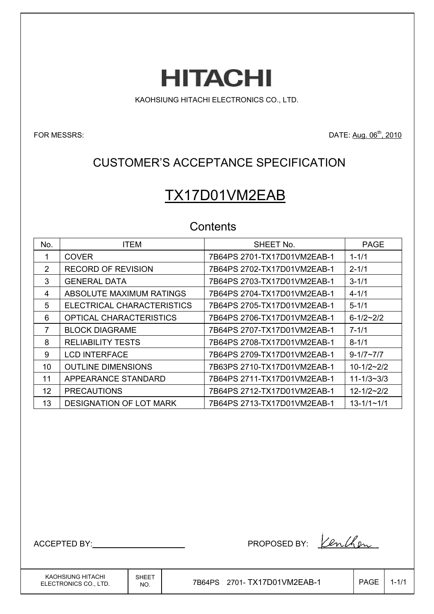**HITACHI** 

KAOHSIUNG HITACHI ELECTRONICS CO., LTD.

FOR MESSRS: DATE: Aug. 06<sup>th</sup>, 2010

## CUSTOMER'S ACCEPTANCE SPECIFICATION

# TX17D01VM2EAB

## **Contents**

| No.           | <b>ITEM</b>                    | SHEET No.                   | <b>PAGE</b>        |
|---------------|--------------------------------|-----------------------------|--------------------|
|               | <b>COVER</b>                   | 7B64PS 2701-TX17D01VM2EAB-1 | $1 - 1/1$          |
| $\mathcal{P}$ | <b>RECORD OF REVISION</b>      | 7B64PS 2702-TX17D01VM2EAB-1 | $2 - 1/1$          |
| 3             | <b>GENERAL DATA</b>            | 7B64PS 2703-TX17D01VM2EAB-1 | $3 - 1/1$          |
| 4             | ABSOLUTE MAXIMUM RATINGS       | 7B64PS 2704-TX17D01VM2EAB-1 | $4 - 1/1$          |
| 5             | ELECTRICAL CHARACTERISTICS     | 7B64PS 2705-TX17D01VM2EAB-1 | $5 - 1/1$          |
| 6             | OPTICAL CHARACTERISTICS        | 7B64PS 2706-TX17D01VM2EAB-1 | $6 - 1/2 - 2/2$    |
| 7             | <b>BLOCK DIAGRAME</b>          | 7B64PS 2707-TX17D01VM2EAB-1 | $7 - 1/1$          |
| 8             | <b>RELIABILITY TESTS</b>       | 7B64PS 2708-TX17D01VM2EAB-1 | $8 - 1/1$          |
| 9             | <b>LCD INTERFACE</b>           | 7B64PS 2709-TX17D01VM2EAB-1 | $9 - 1/7 \sim 7/7$ |
| 10            | <b>OUTLINE DIMENSIONS</b>      | 7B63PS 2710-TX17D01VM2EAB-1 | $10 - 1/2 - 2/2$   |
| 11            | APPEARANCE STANDARD            | 7B64PS 2711-TX17D01VM2EAB-1 | $11 - 1/3 - 3/3$   |
| 12            | <b>PRECAUTIONS</b>             | 7B64PS 2712-TX17D01VM2EAB-1 | $12 - 1/2 - 2/2$   |
| 13            | <b>DESIGNATION OF LOT MARK</b> | 7B64PS 2713-TX17D01VM2EAB-1 | $13 - 1/1 - 1/1$   |

ACCEPTED BY: Venther By:

KAOHSIUNG HITACHI ELECTRONICS CO., LTD.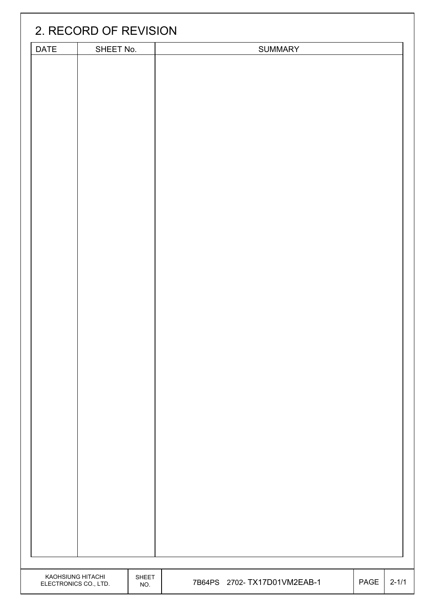|                                            | 2. RECORD OF REVISION |              |                              |      |           |
|--------------------------------------------|-----------------------|--------------|------------------------------|------|-----------|
| DATE                                       | SHEET No.             |              | <b>SUMMARY</b>               |      |           |
|                                            |                       |              |                              |      |           |
|                                            |                       |              |                              |      |           |
|                                            |                       |              |                              |      |           |
|                                            |                       |              |                              |      |           |
|                                            |                       |              |                              |      |           |
|                                            |                       |              |                              |      |           |
|                                            |                       |              |                              |      |           |
|                                            |                       |              |                              |      |           |
|                                            |                       |              |                              |      |           |
|                                            |                       |              |                              |      |           |
|                                            |                       |              |                              |      |           |
|                                            |                       |              |                              |      |           |
|                                            |                       |              |                              |      |           |
|                                            |                       |              |                              |      |           |
|                                            |                       |              |                              |      |           |
|                                            |                       |              |                              |      |           |
|                                            |                       |              |                              |      |           |
|                                            |                       |              |                              |      |           |
|                                            |                       |              |                              |      |           |
|                                            |                       |              |                              |      |           |
|                                            |                       |              |                              |      |           |
|                                            |                       |              |                              |      |           |
|                                            |                       |              |                              |      |           |
|                                            |                       |              |                              |      |           |
|                                            |                       |              |                              |      |           |
|                                            |                       |              |                              |      |           |
|                                            |                       |              |                              |      |           |
|                                            |                       |              |                              |      |           |
|                                            |                       |              |                              |      |           |
|                                            |                       |              |                              |      |           |
|                                            |                       |              |                              |      |           |
|                                            |                       |              |                              |      |           |
|                                            |                       |              |                              |      |           |
|                                            |                       |              |                              |      |           |
|                                            |                       |              |                              |      |           |
|                                            |                       |              |                              |      |           |
|                                            |                       |              |                              |      |           |
|                                            |                       |              |                              |      |           |
| KAOHSIUNG HITACHI<br>ELECTRONICS CO., LTD. |                       | SHEET<br>NO. | 7B64PS 2702- TX17D01VM2EAB-1 | PAGE | $2 - 1/1$ |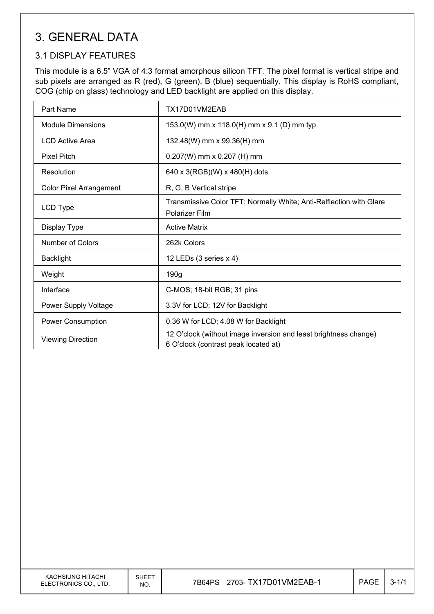## 3. GENERAL DATA

### 3.1 DISPLAY FEATURES

This module is a 6.5" VGA of 4:3 format amorphous silicon TFT. The pixel format is vertical stripe and sub pixels are arranged as R (red), G (green), B (blue) sequentially. This display is RoHS compliant, COG (chip on glass) technology and LED backlight are applied on this display.

| Part Name                      | TX17D01VM2EAB                                                                                            |
|--------------------------------|----------------------------------------------------------------------------------------------------------|
| <b>Module Dimensions</b>       | 153.0(W) mm x 118.0(H) mm x 9.1 (D) mm typ.                                                              |
| <b>LCD Active Area</b>         | 132.48(W) mm x 99.36(H) mm                                                                               |
| <b>Pixel Pitch</b>             | $0.207(W)$ mm x 0.207 (H) mm                                                                             |
| Resolution                     | 640 x 3(RGB)(W) x 480(H) dots                                                                            |
| <b>Color Pixel Arrangement</b> | R, G, B Vertical stripe                                                                                  |
| LCD Type                       | Transmissive Color TFT; Normally White; Anti-Relflection with Glare<br>Polarizer Film                    |
| Display Type                   | <b>Active Matrix</b>                                                                                     |
| Number of Colors               | 262k Colors                                                                                              |
| <b>Backlight</b>               | 12 LEDs (3 series x 4)                                                                                   |
| Weight                         | 190 <sub>g</sub>                                                                                         |
| Interface                      | C-MOS; 18-bit RGB; 31 pins                                                                               |
| Power Supply Voltage           | 3.3V for LCD; 12V for Backlight                                                                          |
| Power Consumption              | 0.36 W for LCD; 4.08 W for Backlight                                                                     |
| <b>Viewing Direction</b>       | 12 O'clock (without image inversion and least brightness change)<br>6 O'clock (contrast peak located at) |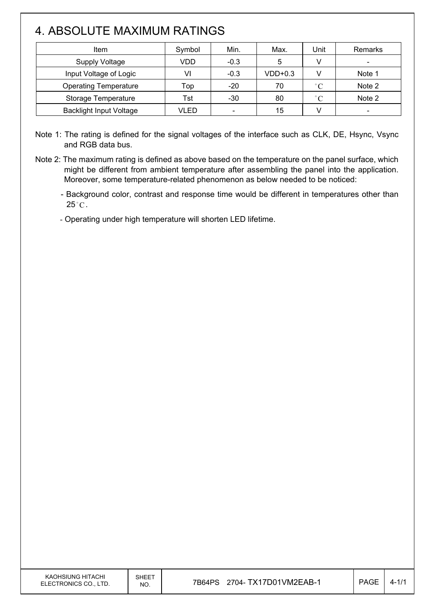# 4. ABSOLUTE MAXIMUM RATINGS

 $\overline{\phantom{a}}$ 

| Item                           | Symbol | Min.                     | Max.      | Unit              | Remarks |
|--------------------------------|--------|--------------------------|-----------|-------------------|---------|
| <b>Supply Voltage</b>          | VDD    | $-0.3$                   | 5         |                   |         |
| Input Voltage of Logic         | VI     | $-0.3$                   | $VDD+0.3$ |                   | Note 1  |
| <b>Operating Temperature</b>   | Top    | $-20$                    | 70        | $\degree$ C       | Note 2  |
| Storage Temperature            | Tst    | $-30$                    | 80        | $^{\circ}$ $\cap$ | Note 2  |
| <b>Backlight Input Voltage</b> | VLED   | $\overline{\phantom{0}}$ | 15        |                   |         |

Note 1: The rating is defined for the signal voltages of the interface such as CLK, DE, Hsync, Vsync and RGB data bus.

Note 2: The maximum rating is defined as above based on the temperature on the panel surface, which might be different from ambient temperature after assembling the panel into the application. Moreover, some temperature-related phenomenon as below needed to be noticed:

- Background color, contrast and response time would be different in temperatures other than  $25^{\circ}$ C.

- Operating under high temperature will shorten LED lifetime.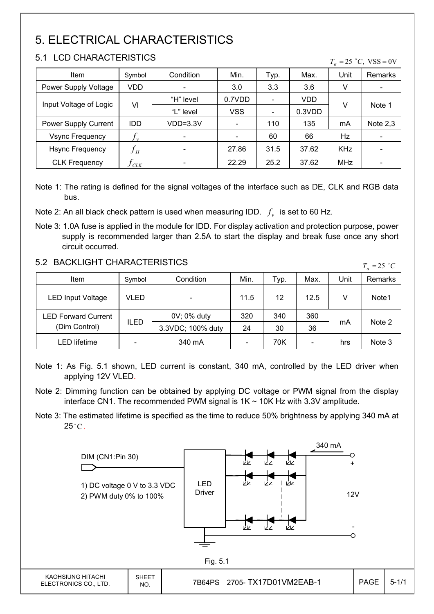# 5. ELECTRICAL CHARACTERISTICS

### 5.1 LCD CHARACTERISTICS

 $\mathsf{I}$ 

| Item                   | Symbol                         | Condition  | Min.       | Typ. | Max.       | Unit       | Remarks                  |
|------------------------|--------------------------------|------------|------------|------|------------|------------|--------------------------|
| Power Supply Voltage   | VDD                            |            | 3.0        | 3.3  | 3.6        | V          | $\overline{\phantom{a}}$ |
| Input Voltage of Logic |                                | "H" level  | 0.7VDD     |      | <b>VDD</b> | V          |                          |
|                        | VI                             | "L" level  | <b>VSS</b> |      | 0.3VDD     |            | Note 1                   |
| Power Supply Current   | <b>IDD</b>                     | $VDD=3.3V$ |            | 110  | 135        | mA         | Note $2,3$               |
| <b>Vsync Frequency</b> | $f_{\rm \scriptscriptstyle v}$ |            |            | 60   | 66         | Hz         | $\overline{\phantom{a}}$ |
| <b>Hsync Frequency</b> | $f_H$                          |            | 27.86      | 31.5 | 37.62      | <b>KHz</b> |                          |
| <b>CLK Frequency</b>   | J C L K                        |            | 22.29      | 25.2 | 37.62      | <b>MHz</b> | -                        |

 $T = 25 \degree C$ , VSS = 0V

Note 1: The rating is defined for the signal voltages of the interface such as DE, CLK and RGB data bus.

Note 2: An all black check pattern is used when measuring IDD.  $f<sub>v</sub>$  is set to 60 Hz.

Note 3: 1.0A fuse is applied in the module for IDD. For display activation and protection purpose, power supply is recommended larger than 2.5A to start the display and break fuse once any short circuit occurred.

### 5.2 BACKLIGHT CHARACTERISTICS

| 9.2 DAUNLIUM UMARAUTERISTIUS |             |                   |      |      |                          |      | $T_a = 25$ °C |
|------------------------------|-------------|-------------------|------|------|--------------------------|------|---------------|
| Item                         | Symbol      | Condition         | Min. | Typ. | Max.                     | Unit | Remarks       |
| <b>LED Input Voltage</b>     | VLED        |                   | 11.5 | 12   | 12.5                     | v    | Note1         |
| <b>LED Forward Current</b>   |             | 0V; 0% duty       | 320  | 340  | 360                      |      |               |
| (Dim Control)                | <b>ILED</b> | 3.3VDC; 100% duty | 24   | 30   | 36                       | mA   | Note 2        |
| LED lifetime                 |             | 340 mA            |      | 70K  | $\overline{\phantom{a}}$ | hrs  | Note 3        |

Note 1: As Fig. 5.1 shown, LED current is constant, 340 mA, controlled by the LED driver when applying 12V VLED.

- Note 2: Dimming function can be obtained by applying DC voltage or PWM signal from the display interface CN1. The recommended PWM signal is  $1K \sim 10K$  Hz with 3.3V amplitude.
- Note 3: The estimated lifetime is specified as the time to reduce 50% brightness by applying 340 mA at  $25^{\circ}$ C.

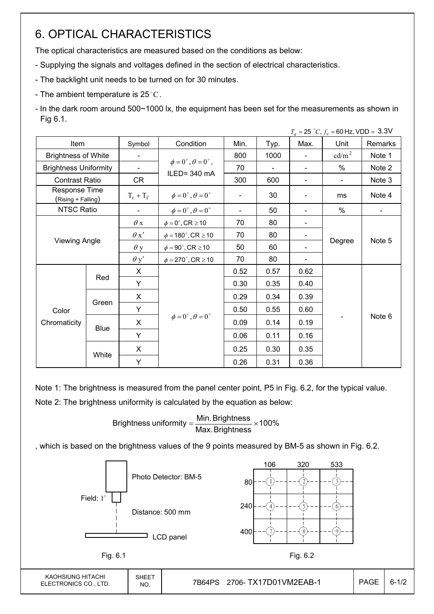## 6. OPTICAL CHARACTERISTICS

The optical characteristics are measured based on the conditions as below:

- Supplying the signals and voltages defined in the section of electrical characteristics.
- The backlight unit needs to be turned on for 30 minutes.
- The ambient temperature is 25 $^{\circ}$ C.
- In the dark room around 500~1000 lx, the equipment has been set for the measurements as shown in Fig 6.1.

|                                     |                      |                          |                                                         |      |                          |                | $T_a = 25 °C$ , $f_v = 60$ Hz, VDD = 3.3V |         |
|-------------------------------------|----------------------|--------------------------|---------------------------------------------------------|------|--------------------------|----------------|-------------------------------------------|---------|
| Item                                |                      | Symbol                   | Condition                                               | Min. | Typ.                     | Max.           | Unit                                      | Remarks |
| <b>Brightness of White</b>          |                      | $\blacksquare$           |                                                         | 800  | 1000                     | $\blacksquare$ | cd/m <sup>2</sup>                         | Note 1  |
| <b>Brightness Uniformity</b>        |                      | $\overline{\phantom{a}}$ | $\phi = 0^{\circ}, \theta = 0^{\circ}$ ,<br>ILED=340 mA | 70   | $\overline{\phantom{a}}$ |                | $\%$                                      | Note 2  |
| <b>Contrast Ratio</b>               |                      | CR                       |                                                         | 300  | 600                      | $\blacksquare$ | $\blacksquare$                            | Note 3  |
| Response Time<br>(Rising + Falling) |                      | $T_r + T_f$              | $\phi = 0^{\circ}, \theta = 0^{\circ}$                  |      | 30                       |                | ms                                        | Note 4  |
| NTSC Ratio                          |                      |                          | $\phi = 0^{\circ}, \theta = 0^{\circ}$                  |      | 50                       |                | %                                         |         |
|                                     |                      | $\theta$ x               | $\phi = 0^\circ$ , CR $\geq 10$                         | 70   | 80                       |                |                                           |         |
|                                     |                      | $\theta x'$              | $\phi = 180^{\circ}$ , CR $\geq 10$                     | 70   | 80                       |                |                                           |         |
|                                     | <b>Viewing Angle</b> |                          | $\phi = 90^{\circ}$ , CR $\geq 10$                      | 50   | 60                       |                | Degree                                    | Note 5  |
|                                     |                      | $\theta$ y'              | $\phi = 270^\circ$ , CR $\geq 10$                       | 70   | 80                       |                |                                           |         |
|                                     |                      | X                        |                                                         | 0.52 | 0.57                     | 0.62           |                                           |         |
|                                     | Red                  | Y                        |                                                         | 0.30 | 0.35                     | 0.40           |                                           |         |
|                                     |                      | X                        |                                                         | 0.29 | 0.34                     | 0.39           |                                           |         |
| Color                               | Green                | Y                        |                                                         | 0.50 | 0.55                     | 0.60           |                                           |         |
| Chromaticity                        |                      | X                        | $\phi = 0^{\circ}, \theta = 0^{\circ}$                  | 0.09 | 0.14                     | 0.19           |                                           | Note 6  |
|                                     |                      | <b>Blue</b><br>Y         |                                                         | 0.06 | 0.11                     | 0.16           |                                           |         |
|                                     | White                | X                        |                                                         | 0.25 | 0.30                     | 0.35           |                                           |         |
|                                     |                      | Y                        |                                                         | 0.26 | 0.31                     | 0.36           |                                           |         |

Note 1: The brightness is measured from the panel center point, P5 in Fig. 6.2, for the typical value.

Note 2: The brightness uniformity is calculated by the equation as below:

Brightness uniformity  $=\frac{1}{2}$  is  $\frac{1}{2}$  in  $\frac{1}{2}$  in  $\frac{1}{2}$  is  $\frac{1}{2}$  in  $\frac{1}{2}$  in  $\frac{1}{2}$  is  $\frac{1}{2}$  in  $\frac{1}{2}$  in  $\frac{1}{2}$  is  $\frac{1}{2}$  in  $\frac{1}{2}$  in  $\frac{1}{2}$  is  $\frac{1}{2}$  in  $\frac{1}{2}$  in  $\frac{$ Max.Brightness Brightness uniformity =  $\frac{\text{Min.~Brightness}}{\text{max.~S}}$ 

, which is based on the brightness values of the 9 points measured by BM-5 as shown in Fig. 6.2.

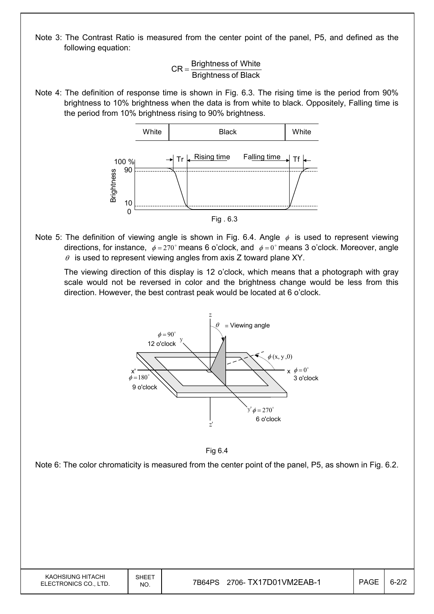Note 3: The Contrast Ratio is measured from the center point of the panel, P5, and defined as the following equation:

> Brightness of Black  $CR =$ Brightness of White

Note 4: The definition of response time is shown in Fig. 6.3. The rising time is the period from 90% brightness to 10% brightness when the data is from white to black. Oppositely, Falling time is the period from 10% brightness rising to 90% brightness.



Note 5: The definition of viewing angle is shown in Fig. 6.4. Angle  $\phi$  is used to represent viewing directions, for instance,  $\phi = 270^\circ$  means 6 o'clock, and  $\phi = 0^\circ$  means 3 o'clock. Moreover, angle  $\theta$  is used to represent viewing angles from axis Z toward plane XY.

 The viewing direction of this display is 12 o'clock, which means that a photograph with gray scale would not be reversed in color and the brightness change would be less from this direction. However, the best contrast peak would be located at 6 o'clock.





Note 6: The color chromaticity is measured from the center point of the panel, P5, as shown in Fig. 6.2.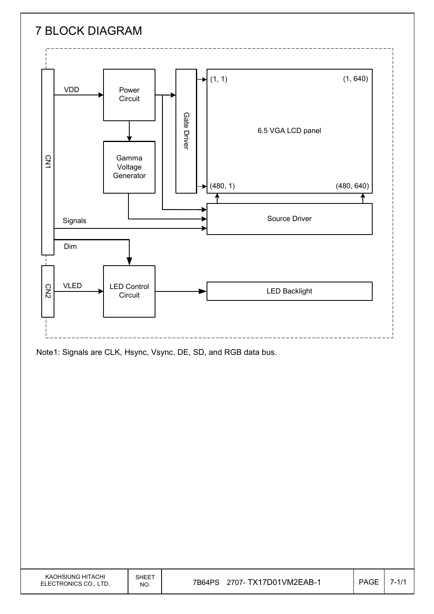

Note1: Signals are CLK, Hsync, Vsync, DE, SD, and RGB data bus.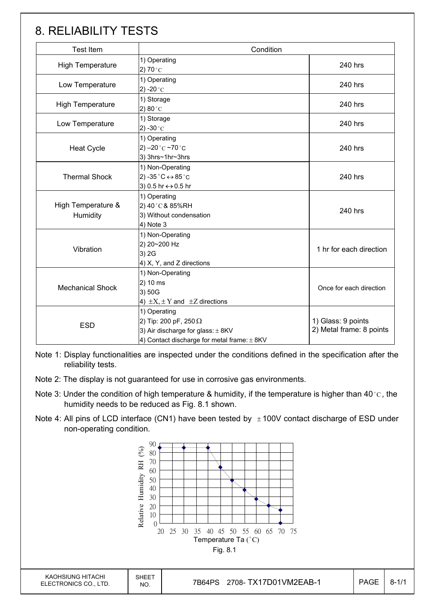## 8. RELIABILITY TESTS

| <b>Test Item</b>               | Condition                                                                                                                                |                                                |
|--------------------------------|------------------------------------------------------------------------------------------------------------------------------------------|------------------------------------------------|
| High Temperature               | 1) Operating<br>2) 70 $^{\circ}$ C                                                                                                       | 240 hrs                                        |
| Low Temperature                | 1) Operating<br>2) -20 $^{\circ}$ C                                                                                                      | 240 hrs                                        |
| <b>High Temperature</b>        | 1) Storage<br>2) $80^{\circ}$ C                                                                                                          | 240 hrs                                        |
| Low Temperature                | 1) Storage<br>2) -30 $^{\circ}$ C                                                                                                        | 240 hrs                                        |
| <b>Heat Cycle</b>              | 1) Operating<br>2) $-20$ °C $-70$ °C<br>3) 3hrs~1hr~3hrs                                                                                 | 240 hrs                                        |
| <b>Thermal Shock</b>           | 1) Non-Operating<br>2) -35 $^{\circ}$ C $\leftrightarrow$ 85 $^{\circ}$ C<br>3) 0.5 hr ↔ 0.5 hr                                          | 240 hrs                                        |
| High Temperature &<br>Humidity | 1) Operating<br>2) 40°C & 85%RH<br>3) Without condensation<br>4) Note 3                                                                  | 240 hrs                                        |
| Vibration                      | 1) Non-Operating<br>2) 20~200 Hz<br>3) 2G<br>4) X, Y, and Z directions                                                                   | 1 hr for each direction                        |
| <b>Mechanical Shock</b>        | 1) Non-Operating<br>2) 10 ms<br>3) 50G<br>4) $\pm X$ , $\pm Y$ and $\pm Z$ directions                                                    |                                                |
| <b>ESD</b>                     | 1) Operating<br>2) Tip: 200 pF, 250 $\Omega$<br>3) Air discharge for glass: $\pm$ 8KV<br>4) Contact discharge for metal frame: $\pm$ 8KV | 1) Glass: 9 points<br>2) Metal frame: 8 points |

Note 1: Display functionalities are inspected under the conditions defined in the specification after the reliability tests.

- Note 2: The display is not guaranteed for use in corrosive gas environments.
- Note 3: Under the condition of high temperature & humidity, if the temperature is higher than 40 °C, the humidity needs to be reduced as Fig. 8.1 shown.
- Note 4: All pins of LCD interface (CN1) have been tested by  $\pm 100V$  contact discharge of ESD under non-operating condition.

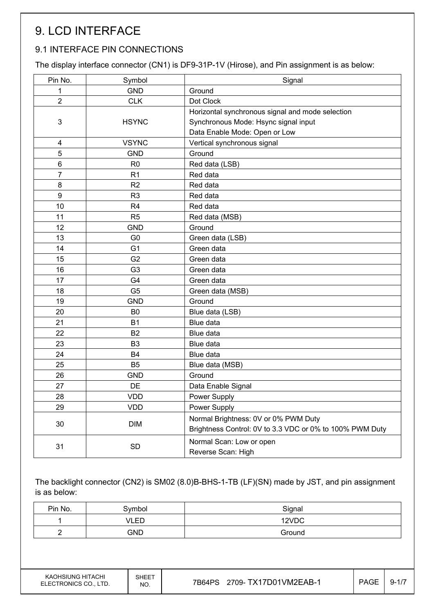# 9. LCD INTERFACE

## 9.1 INTERFACE PIN CONNECTIONS

The display interface connector (CN1) is DF9-31P-1V (Hirose), and Pin assignment is as below:

| Pin No.        | Symbol         | Signal                                                   |
|----------------|----------------|----------------------------------------------------------|
| 1              | <b>GND</b>     | Ground                                                   |
| $\overline{2}$ | <b>CLK</b>     | Dot Clock                                                |
|                |                | Horizontal synchronous signal and mode selection         |
| 3              | <b>HSYNC</b>   | Synchronous Mode: Hsync signal input                     |
|                |                | Data Enable Mode: Open or Low                            |
| 4              | <b>VSYNC</b>   | Vertical synchronous signal                              |
| 5              | <b>GND</b>     | Ground                                                   |
| 6              | R <sub>0</sub> | Red data (LSB)                                           |
| $\overline{7}$ | R <sub>1</sub> | Red data                                                 |
| 8              | R <sub>2</sub> | Red data                                                 |
| 9              | R <sub>3</sub> | Red data                                                 |
| 10             | R <sub>4</sub> | Red data                                                 |
| 11             | R <sub>5</sub> | Red data (MSB)                                           |
| 12             | <b>GND</b>     | Ground                                                   |
| 13             | G <sub>0</sub> | Green data (LSB)                                         |
| 14             | G <sub>1</sub> | Green data                                               |
| 15             | G <sub>2</sub> | Green data                                               |
| 16             | G <sub>3</sub> | Green data                                               |
| 17             | G4             | Green data                                               |
| 18             | G <sub>5</sub> | Green data (MSB)                                         |
| 19             | <b>GND</b>     | Ground                                                   |
| 20             | B <sub>0</sub> | Blue data (LSB)                                          |
| 21             | <b>B1</b>      | Blue data                                                |
| 22             | <b>B2</b>      | Blue data                                                |
| 23             | B <sub>3</sub> | Blue data                                                |
| 24             | <b>B4</b>      | Blue data                                                |
| 25             | B <sub>5</sub> | Blue data (MSB)                                          |
| 26             | <b>GND</b>     | Ground                                                   |
| 27             | DE             | Data Enable Signal                                       |
| 28             | <b>VDD</b>     | Power Supply                                             |
| 29             | <b>VDD</b>     | Power Supply                                             |
| 30             | <b>DIM</b>     | Normal Brightness: 0V or 0% PWM Duty                     |
|                |                | Brightness Control: 0V to 3.3 VDC or 0% to 100% PWM Duty |
| 31             | SD             | Normal Scan: Low or open                                 |
|                |                | Reverse Scan: High                                       |

The backlight connector (CN2) is SM02 (8.0)B-BHS-1-TB (LF)(SN) made by JST, and pin assignment is as below:

| Pin No. | 3ymbol | Signal |
|---------|--------|--------|
|         | VLED   | 12VDC  |
|         | GND    | Ground |

KAOHSIUNG HITACHI ELECTRONICS CO., LTD.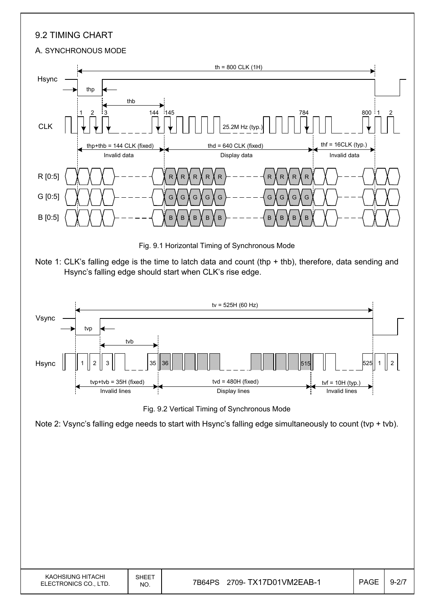## 9.2 TIMING CHART

#### A. SYNCHRONOUS MODE



Fig. 9.1 Horizontal Timing of Synchronous Mode





Fig. 9.2 Vertical Timing of Synchronous Mode

Note 2: Vsync's falling edge needs to start with Hsync's falling edge simultaneously to count (tvp + tvb).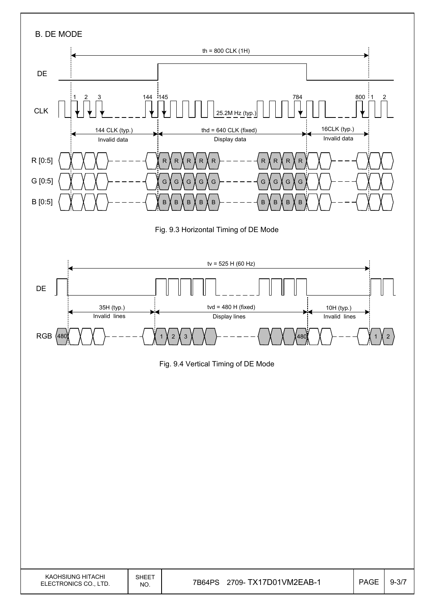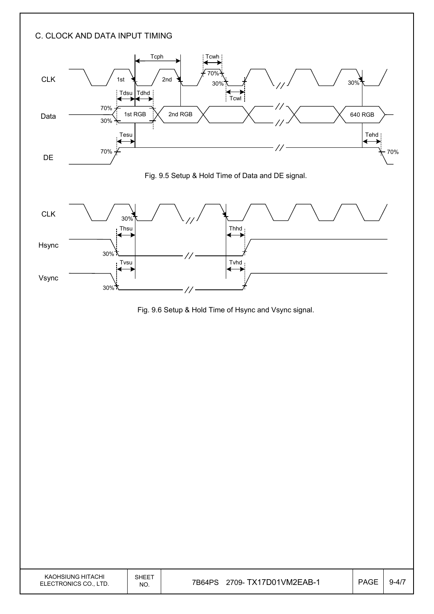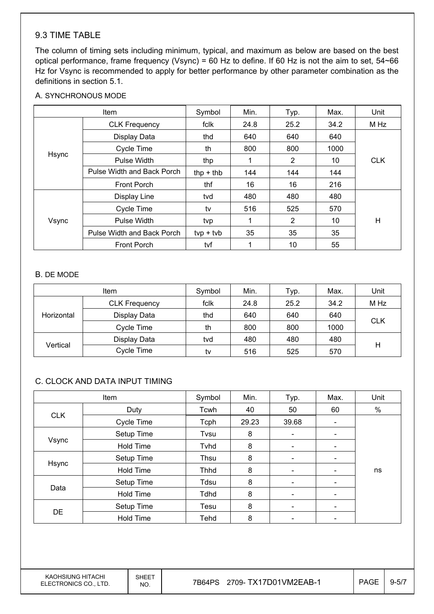### 9.3 TIME TABLE

The column of timing sets including minimum, typical, and maximum as below are based on the best optical performance, frame frequency (Vsync) = 60 Hz to define. If 60 Hz is not the aim to set, 54~66 Hz for Vsync is recommended to apply for better performance by other parameter combination as the definitions in section 5.1.

#### A. SYNCHRONOUS MODE

| Item  |                            | Symbol      | Min. | Typ.           | Max. | Unit       |
|-------|----------------------------|-------------|------|----------------|------|------------|
|       | <b>CLK Frequency</b>       | fclk        | 24.8 | 25.2           | 34.2 | M Hz       |
|       | Display Data               | thd         | 640  | 640            | 640  |            |
|       | Cycle Time                 | th          | 800  | 800            | 1000 |            |
| Hsync | Pulse Width                | thp         |      | $\overline{2}$ | 10   | <b>CLK</b> |
|       | Pulse Width and Back Porch | $thp + thb$ | 144  | 144            | 144  |            |
|       | <b>Front Porch</b>         | thf         | 16   | 16             | 216  |            |
| Vsync | Display Line               | tvd         | 480  | 480            | 480  |            |
|       | <b>Cycle Time</b>          | tv          | 516  | 525            | 570  |            |
|       | Pulse Width                | tvp         |      | 2              | 10   | H          |
|       | Pulse Width and Back Porch | $typ + tvb$ | 35   | 35             | 35   |            |
|       | <b>Front Porch</b>         | tvf         |      | 10             | 55   |            |

#### B. DE MODE

|            | <b>Item</b>          | Symbol | Min. | Typ. | Max. | Unit       |
|------------|----------------------|--------|------|------|------|------------|
| Horizontal | <b>CLK Frequency</b> | fclk   | 24.8 | 25.2 | 34.2 | M Hz       |
|            | Display Data         | thd    | 640  | 640  | 640  | <b>CLK</b> |
|            | Cycle Time           | th     | 800  | 800  | 1000 |            |
| Vertical   | Display Data         | tvd    | 480  | 480  | 480  |            |
|            | Cycle Time           | tv     | 516  | 525  | 570  | н          |

#### C. CLOCK AND DATA INPUT TIMING

| Item       |                  | Symbol      | Min.  | Typ.                     | Max.                         | Unit |
|------------|------------------|-------------|-------|--------------------------|------------------------------|------|
|            | Duty             | Tcwh        | 40    | 50                       | 60                           | %    |
| <b>CLK</b> | Cycle Time       | Tcph        | 29.23 | 39.68                    | $\overline{\phantom{a}}$     |      |
|            | Setup Time       | Tvsu        | 8     | $\overline{\phantom{a}}$ |                              |      |
| Vsync      | <b>Hold Time</b> | Tyhd        | 8     | $\overline{\phantom{a}}$ | $\overline{\phantom{0}}$     |      |
|            | Setup Time       | Thsu        | 8     | $\overline{\phantom{a}}$ | $\qquad \qquad \blacksquare$ |      |
| Hsync      | <b>Hold Time</b> | <b>Thhd</b> | 8     | $\overline{\phantom{a}}$ | -                            | ns   |
|            | Setup Time       | Tdsu        | 8     |                          |                              |      |
| Data       | <b>Hold Time</b> | Tdhd        | 8     | $\overline{\phantom{a}}$ | $\qquad \qquad \blacksquare$ |      |
|            | Setup Time       | Tesu        | 8     | $\overline{\phantom{a}}$ | $\overline{\phantom{0}}$     |      |
| <b>DE</b>  | <b>Hold Time</b> | Tehd        | 8     |                          |                              |      |

KAOHSIUNG HITACHI ELECTRONICS CO., LTD.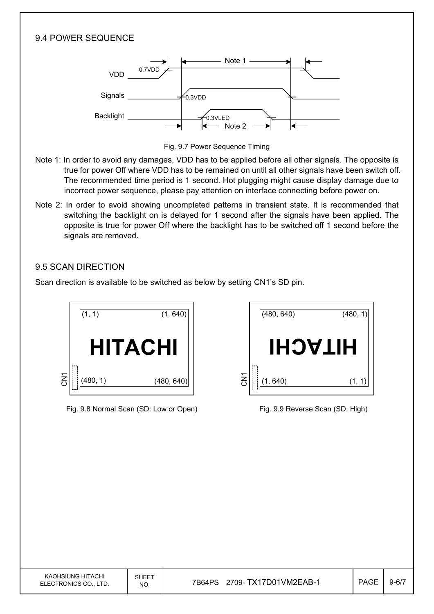### 9.4 POWER SEQUENCE



Fig. 9.7 Power Sequence Timing

- Note 1: In order to avoid any damages, VDD has to be applied before all other signals. The opposite is true for power Off where VDD has to be remained on until all other signals have been switch off. The recommended time period is 1 second. Hot plugging might cause display damage due to incorrect power sequence, please pay attention on interface connecting before power on.
- Note 2: In order to avoid showing uncompleted patterns in transient state. It is recommended that switching the backlight on is delayed for 1 second after the signals have been applied. The opposite is true for power Off where the backlight has to be switched off 1 second before the signals are removed.

### 9.5 SCAN DIRECTION

Scan direction is available to be switched as below by setting CN1's SD pin.



Fig. 9.8 Normal Scan (SD: Low or Open) Fig. 9.9 Reverse Scan (SD: High)

|                       | (480, 640) | (480, 1) |
|-----------------------|------------|----------|
|                       | HIJACH     |          |
| $\overline{\text{S}}$ | (1, 640)   | (1,      |

| KAOHSIUNG HITACHI<br>ELECTRONICS CO., LTD. | SHEET<br>NO. | 2709- TX17D01VM2EAB-1<br>7B64PS | <b>PAGE</b> | $9 - 6/7$ |
|--------------------------------------------|--------------|---------------------------------|-------------|-----------|
|                                            |              |                                 |             |           |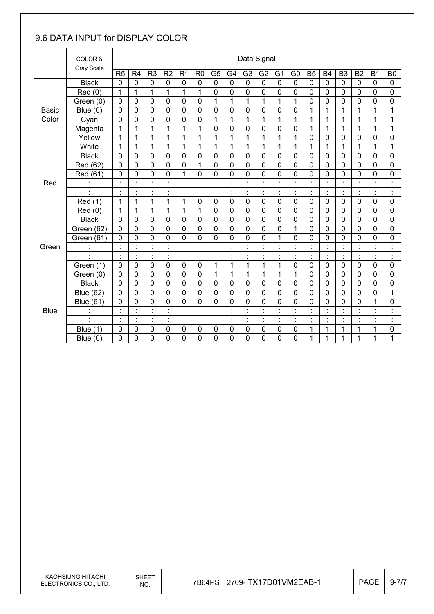## 9.6 DATA INPUT for DISPLAY COLOR

|              | COLOR &<br>Gray Scale |                | Data Signal                      |                                  |                |                           |                |                              |                         |                             |                |                      |                                  |                      |                |                      |                                  |                    |                      |
|--------------|-----------------------|----------------|----------------------------------|----------------------------------|----------------|---------------------------|----------------|------------------------------|-------------------------|-----------------------------|----------------|----------------------|----------------------------------|----------------------|----------------|----------------------|----------------------------------|--------------------|----------------------|
|              |                       | R <sub>5</sub> | R <sub>4</sub>                   | R <sub>3</sub>                   | R2             | R <sub>1</sub>            | R <sub>0</sub> | G <sub>5</sub>               | G4                      | G <sub>3</sub>              | G <sub>2</sub> | G <sub>1</sub>       | G <sub>0</sub>                   | <b>B5</b>            | <b>B4</b>      | B <sub>3</sub>       | <b>B2</b>                        | <b>B1</b>          | B <sub>0</sub>       |
|              | <b>Black</b>          | $\mathbf 0$    | 0                                | $\mathbf 0$                      | $\mathbf 0$    | $\overline{0}$            | $\overline{0}$ | $\overline{0}$               | $\overline{0}$          | $\overline{0}$              | $\mathbf 0$    | $\mathbf 0$          | $\overline{0}$                   | $\overline{0}$       | $\overline{0}$ | $\mathbf 0$          | 0                                | $\mathbf 0$        | $\mathbf 0$          |
|              | Red(0)                | 1              | $\mathbf{1}$                     | 1                                | 1              | 1                         | 1              | 0                            | $\mathbf 0$             | 0                           | 0              | 0                    | 0                                | $\mathbf 0$          | $\mathbf 0$    | $\mathbf 0$          | 0                                | $\mathbf 0$        | 0                    |
|              | Green (0)             | 0              | 0                                | 0                                | 0              | 0                         | $\mathbf 0$    | $\mathbf{1}$                 | $\mathbf{1}$            | $\mathbf{1}$                | 1              | 1                    | 1                                | $\mathbf 0$          | $\mathbf 0$    | $\mathbf 0$          | 0                                | 0                  | 0                    |
| <b>Basic</b> | Blue $(0)$            | $\mathbf 0$    | 0                                | $\mathbf 0$                      | 0              | $\mathbf 0$               | $\mathbf 0$    | $\mathbf 0$                  | $\mathbf 0$             | 0                           | $\mathbf 0$    | 0                    | 0                                | 1                    | $\overline{1}$ | $\mathbf{1}$         | 1                                | 1                  | 1                    |
| Color        | Cyan                  | $\overline{0}$ | 0                                | 0                                | $\mathbf 0$    | 0                         | $\mathbf 0$    | 1                            | 1                       | 1                           | 1              | 1                    | 1                                | 1                    | 1              | 1                    | 1                                | 1                  | 1                    |
|              | Magenta               | 1              | 1                                | $\mathbf{1}$                     | 1              | 1                         | 1              | $\mathbf 0$                  | $\mathbf 0$             | 0                           | 0              | 0                    | 0                                | 1                    | 1              | 1                    | 1                                | 1                  | 1                    |
|              | Yellow                | $\mathbf{1}$   | 1                                | 1                                | 1              | $\mathbf 1$               | 1              | $\mathbf{1}$                 | $\mathbf{1}$            | $\mathbf{1}$                | $\overline{1}$ | 1                    | $\mathbf 1$                      | 0                    | $\mathbf 0$    | $\mathbf 0$          | 0                                | 0                  | 0                    |
|              | White                 | 1              | 1                                | $\mathbf{1}$                     | 1              | 1                         | 1              | 1                            | 1                       | 1                           | 1              | 1                    | 1                                | 1                    | 1              | 1                    | 1                                | 1                  | 1                    |
|              | <b>Black</b>          | 0              | 0                                | 0                                | 0              | 0                         | $\mathbf 0$    | $\mathbf 0$                  | $\mathbf 0$             | 0                           | 0              | 0                    | 0                                | $\mathbf 0$          | $\mathbf 0$    | 0                    | 0                                | 0                  | 0                    |
|              | Red (62)              | 0              | 0                                | 0                                | $\Omega$       | 0                         | 1              | $\mathbf 0$                  | $\overline{0}$          | $\Omega$                    | $\mathbf 0$    | 0                    | 0                                | $\mathbf 0$          | $\mathbf 0$    | $\mathbf 0$          | 0                                | $\Omega$           | 0                    |
|              | Red (61)              | 0              | 0                                | 0                                | 0              | 1                         | $\mathbf 0$    | $\mathbf 0$                  | $\mathbf 0$             | 0                           | 0              | 0                    | 0                                | $\mathbf 0$          | $\mathbf 0$    | $\mathbf 0$          | 0                                | 0                  | $\mathbf 0$          |
| Red          |                       | $\cdot$        | Ì.                               | $\blacksquare$<br>$\blacksquare$ | $\ddot{\cdot}$ | $\ddot{\cdot}$            |                | $\ddot{\phantom{a}}$         | $\ddot{\phantom{a}}$    | $\blacksquare$<br>×,        | $\ddot{\cdot}$ | $\ddot{\cdot}$       | $\ddot{\cdot}$                   | $\ddot{\cdot}$       |                | $\ddot{\phantom{a}}$ | $\blacksquare$                   | $\cdot$<br>٠       | $\ddot{\cdot}$       |
|              |                       | $\blacksquare$ | $\blacksquare$                   | $\blacksquare$                   | $\blacksquare$ | $\blacksquare$<br>×,      | $\blacksquare$ | Ì.                           | $\blacksquare$          | $\blacksquare$              | $\cdot$        | $\cdot$              | $\blacksquare$                   | $\blacksquare$       | $\blacksquare$ | $\blacksquare$       | $\blacksquare$                   | $\cdot$            | $\cdot$<br>٠         |
|              | Red (1)               | 1              | 1                                | $\mathbf{1}$                     | 1              | $\mathbf{1}$              | $\mathbf 0$    | $\mathbf 0$                  | $\overline{0}$          | 0                           | $\mathbf 0$    | $\mathbf 0$          | 0                                | $\mathbf 0$          | $\mathbf 0$    | $\overline{0}$       | 0                                | $\mathbf 0$        | 0                    |
|              | Red (0)               | 1              | 1                                | 1                                | 1              | 1                         | 1              | $\mathbf 0$                  | $\mathbf 0$             | 0                           | 0              | 0                    | 0                                | $\mathbf 0$          | $\mathbf 0$    | $\mathbf 0$          | 0                                | 0                  | 0                    |
|              | <b>Black</b>          | $\mathbf 0$    | 0                                | 0                                | 0              | $\mathbf 0$               | $\mathbf 0$    | $\mathbf 0$                  | $\mathbf 0$             | 0                           | $\mathbf 0$    | $\mathbf 0$          | $\overline{0}$                   | $\mathbf 0$          | $\mathbf 0$    | $\mathbf 0$          | 0                                | 0                  | 0                    |
|              | Green (62)            | $\overline{0}$ | 0                                | 0                                | 0              | 0                         | $\mathbf 0$    | $\mathbf 0$                  | $\mathbf 0$             | 0                           | 0              | 0                    | 1                                | $\mathbf 0$          | $\mathbf 0$    | $\overline{0}$       | 0                                | 0                  | 0                    |
|              | Green (61)            | 0              | 0                                | 0                                | 0              | 0                         | 0              | 0                            | $\mathbf 0$             | 0                           | 0              | 1                    | 0                                | $\mathbf 0$          | 0              | $\mathbf 0$          | 0                                | 0                  | 0                    |
| Green        | ÷,                    |                | $\ddot{\cdot}$                   | $\cdot$                          | $\ddot{\cdot}$ |                           |                | ċ                            | $\ddot{\cdot}$          |                             |                | $\cdot$              | $\ddot{\cdot}$                   | ċ                    |                |                      | $\blacksquare$                   | $\cdot$            | $\ddot{\cdot}$       |
|              | ä,                    | ÷.             | Ì.                               | ł,                               | $\vdots$       | Ì.                        | $\ddot{\cdot}$ | $\ddot{\phantom{a}}$         | Ì.                      | $\ddot{\cdot}$              | t,             | $\ddot{\phantom{a}}$ | Ì.                               | t                    | ċ              | $\ddot{\cdot}$       | ł,                               | $\cdot$            | $\ddot{\phantom{a}}$ |
|              | Green (1)             | $\mathbf 0$    | 0                                | 0                                | $\mathbf 0$    | 0                         | $\mathbf 0$    | $\mathbf 1$                  | $\mathbf 1$             | 1                           | 1              | 1                    | 0                                | $\mathbf 0$          | $\mathbf 0$    | $\mathbf 0$          | 0                                | $\mathbf 0$        | 0                    |
|              | Green (0)             | 0              | 0                                | 0                                | $\mathbf 0$    | 0                         | $\mathbf 0$    | $\mathbf{1}$                 | 1                       | 1                           | 1              | $\mathbf{1}$         | 1                                | $\mathbf 0$          | $\mathbf 0$    | $\mathbf 0$          | 0                                | $\mathbf 0$        | 0                    |
|              | <b>Black</b>          | $\overline{0}$ | 0                                | 0                                | 0              | $\mathbf 0$               | $\mathbf 0$    | $\mathbf 0$                  | $\mathbf 0$             | 0                           | $\mathbf 0$    | 0                    | 0                                | $\mathbf 0$          | $\overline{0}$ | $\mathbf 0$          | 0                                | $\mathbf 0$        | $\mathbf 0$          |
|              | <b>Blue (62)</b>      | $\mathbf 0$    | 0                                | 0                                | 0              | 0                         | $\mathbf 0$    | $\mathbf 0$                  | $\mathbf 0$             | 0                           | 0              | 0                    | 0                                | 0                    | $\mathbf 0$    | 0                    | 0                                | 0                  | 1                    |
|              | <b>Blue (61)</b>      | 0              | 0                                | 0                                | 0              | 0                         | 0              | $\mathbf 0$                  | $\mathbf 0$             | 0                           | 0              | 0                    | 0                                | 0                    | 0              | 0                    | 0                                | $\mathbf{1}$       | 0                    |
| <b>Blue</b>  |                       | $\blacksquare$ | $\blacksquare$<br>$\blacksquare$ | $\blacksquare$                   | $\cdot$<br>×   | $\cdot$<br>÷.             | $\blacksquare$ | $\blacksquare$<br>$\epsilon$ | $\cdot$<br>$\mathbf{r}$ | $\cdot$                     | $\cdot$        |                      | $\blacksquare$<br>$\blacksquare$ | $\blacksquare$<br>÷. | $\cdot$        | $\blacksquare$       | $\blacksquare$                   | $\cdot$            | $\cdot$<br>×         |
|              |                       | $\cdot$<br>٠   | $\blacksquare$<br>$\blacksquare$ | $\blacksquare$<br>$\blacksquare$ | $\ddot{\cdot}$ | $\blacksquare$<br>$\cdot$ | $\blacksquare$ | ÷,                           | $\cdot$<br>$\cdot$      | $\blacksquare$<br>$\bullet$ | $\cdot$<br>٠   | $\ddot{\cdot}$       | $\cdot$<br>$\sim$                | t                    | $\cdot$        | $\bullet$<br>$\cdot$ | $\blacksquare$<br>$\blacksquare$ | $\cdot$<br>$\cdot$ | $\cdot$<br>$\bullet$ |
|              | <b>Blue</b><br>(1)    | $\mathbf 0$    | 0                                | 0                                | 0              | 0                         | 0              | $\mathbf 0$                  | $\mathbf 0$             | 0                           | 0              | 0                    | $\pmb{0}$                        | 1                    | 1              | 1                    | 1                                | 1                  | 0                    |
|              | Blue $(0)$            | 0              | 0                                | $\overline{0}$                   | 0              | 0                         | 0              | 0                            | $\overline{0}$          | 0                           | 0              | 0                    | 0                                | 1                    | 1              | 1                    | 1                                | 1                  | 1                    |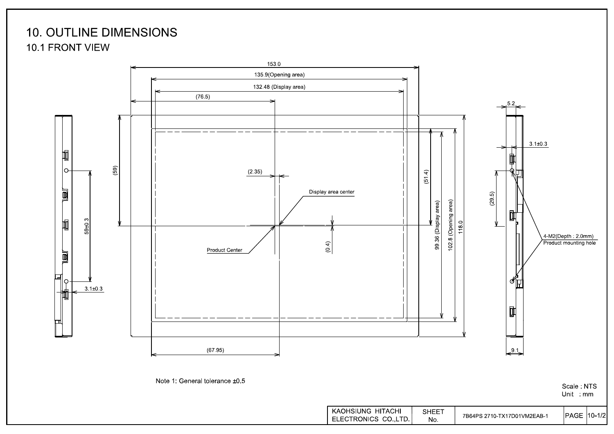## **10. OUTLINE DIMENSIONS 10.1 FRONT VIEW**



Unit : mm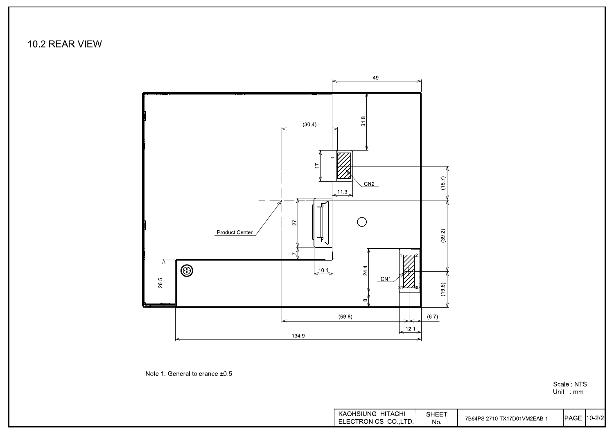10.2 REAR VIEW



Note 1: General tolerance ±0.5

Scale: NTS Unit mm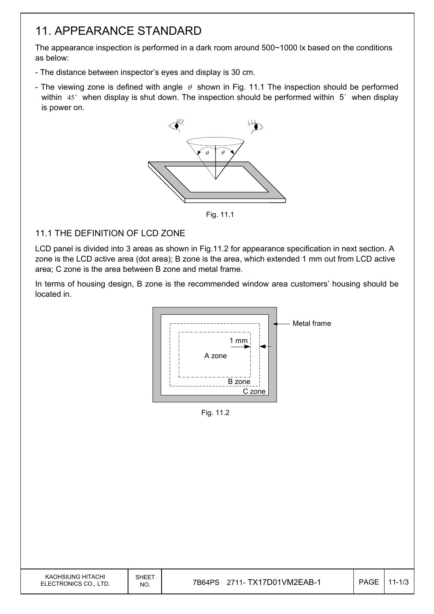## 11. APPEARANCE STANDARD

The appearance inspection is performed in a dark room around 500~1000 lx based on the conditions as below:

- The distance between inspector's eyes and display is 30 cm.
- The viewing zone is defined with angle  $\theta$  shown in Fig. 11.1 The inspection should be performed within  $45^\circ$  when display is shut down. The inspection should be performed within  $5^\circ$  when display is power on.



Fig. 11.1

### 11.1 THE DEFINITION OF LCD ZONE

LCD panel is divided into 3 areas as shown in Fig.11.2 for appearance specification in next section. A zone is the LCD active area (dot area); B zone is the area, which extended 1 mm out from LCD active area; C zone is the area between B zone and metal frame.

In terms of housing design, B zone is the recommended window area customers' housing should be located in.



Fig. 11.2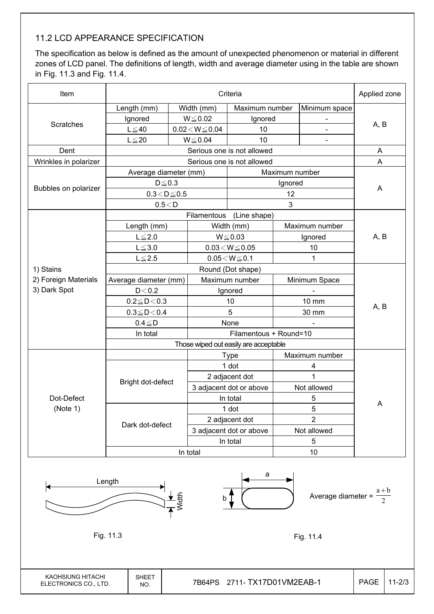### 11.2 LCD APPEARANCE SPECIFICATION

The specification as below is defined as the amount of unexpected phenomenon or material in different zones of LCD panel. The definitions of length, width and average diameter using in the table are shown in Fig. 11.3 and Fig. 11.4.

| Item                  |                                  | Applied zone |                                       |                            |                  |                |                |  |  |
|-----------------------|----------------------------------|--------------|---------------------------------------|----------------------------|------------------|----------------|----------------|--|--|
|                       | Length (mm)                      |              | Width (mm)<br>Maximum number          |                            |                  | Minimum space  |                |  |  |
|                       | Ignored                          |              | $W \le 0.02$                          | Ignored                    |                  |                |                |  |  |
| <b>Scratches</b>      | $L \leq 40$                      |              | $0.02\!<\!W\!\leq\!0.04$              | 10                         |                  | $\blacksquare$ | A, B           |  |  |
|                       | $L \leq 20$                      |              | 10<br>$W \le 0.04$                    |                            |                  | $\blacksquare$ |                |  |  |
| Dent                  |                                  |              |                                       | Serious one is not allowed |                  |                | A              |  |  |
| Wrinkles in polarizer |                                  |              |                                       | Serious one is not allowed |                  |                | A              |  |  |
|                       | Average diameter (mm)            |              |                                       |                            | Maximum number   |                |                |  |  |
|                       | $D \leq 0.3$                     |              |                                       |                            | Ignored          |                |                |  |  |
| Bubbles on polarizer  | $0.3\!<\!D\!\leq\!0.5$           |              |                                       |                            | 12               |                | A              |  |  |
|                       | 0.5 < D                          |              |                                       |                            | 3                |                |                |  |  |
|                       |                                  |              | Filamentous                           | (Line shape)               |                  |                |                |  |  |
|                       | Length (mm)                      |              |                                       | Width (mm)                 | Maximum number   |                |                |  |  |
|                       | $L \leq 2.0$                     |              | $W \le 0.03$                          |                            | Ignored          |                | A, B           |  |  |
|                       | $L \le 3.0$                      |              | $0.03\!<\!W\!\leq\!0.05$              |                            | 10               |                |                |  |  |
|                       | $L \leq 2.5$                     |              | $0.05\!<\!W\!\leq\!0.1$               |                            |                  | 1              |                |  |  |
| 1) Stains             |                                  |              |                                       |                            |                  |                |                |  |  |
| 2) Foreign Materials  | Average diameter (mm)<br>$D<0.2$ |              | Maximum number                        |                            | Minimum Space    |                |                |  |  |
| 3) Dark Spot          |                                  |              | Ignored                               |                            |                  |                |                |  |  |
|                       | $0.2 \le D < 0.3$                |              | 10                                    |                            |                  | 10 mm          |                |  |  |
|                       | $0.3 \le D < 0.4$                |              | 5                                     |                            | 30 mm            |                | A, B           |  |  |
|                       | $0.4 \leq D$                     |              | None                                  |                            |                  |                |                |  |  |
|                       | In total                         |              |                                       |                            |                  |                |                |  |  |
|                       |                                  |              | Those wiped out easily are acceptable |                            |                  |                |                |  |  |
|                       |                                  |              |                                       | <b>Type</b>                |                  | Maximum number |                |  |  |
|                       |                                  |              |                                       | 1 dot                      | 4                |                |                |  |  |
|                       | Bright dot-defect                |              |                                       | 2 adjacent dot             | $\overline{1}$   |                |                |  |  |
|                       |                                  |              | 3 adjacent dot or above               |                            | Not allowed      |                |                |  |  |
| Dot-Defect            |                                  |              | In total                              |                            | 5                |                | Α              |  |  |
| (Note 1)              |                                  |              | 1 dot                                 |                            | 5                |                |                |  |  |
|                       | Dark dot-defect                  |              |                                       | 2 adjacent dot             |                  |                | $\overline{2}$ |  |  |
|                       |                                  |              |                                       | 3 adjacent dot or above    | Not allowed<br>5 |                |                |  |  |
|                       |                                  |              | In total                              |                            |                  |                |                |  |  |
|                       |                                  |              | In total                              |                            | 10               |                |                |  |  |



KAOHSIUNG HITACHI ELECTRONICS CO., LTD.

SHEET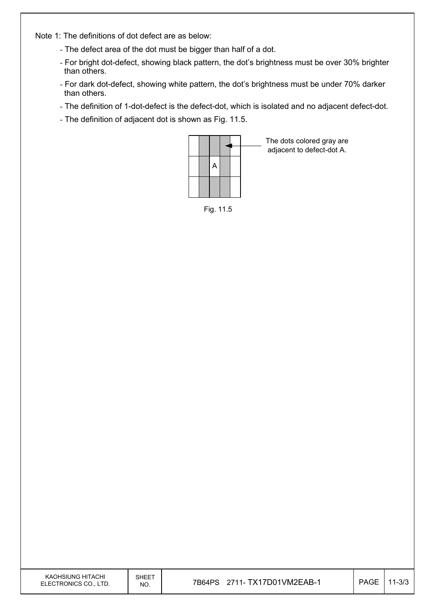Note 1: The definitions of dot defect are as below:

- The defect area of the dot must be bigger than half of a dot.
- For bright dot-defect, showing black pattern, the dot's brightness must be over 30% brighter than others.
- For dark dot-defect, showing white pattern, the dot's brightness must be under 70% darker than others.
- The definition of 1-dot-defect is the defect-dot, which is isolated and no adjacent defect-dot.
- The definition of adjacent dot is shown as Fig. 11.5.



The dots colored gray are adjacent to defect-dot A.

Fig. 11.5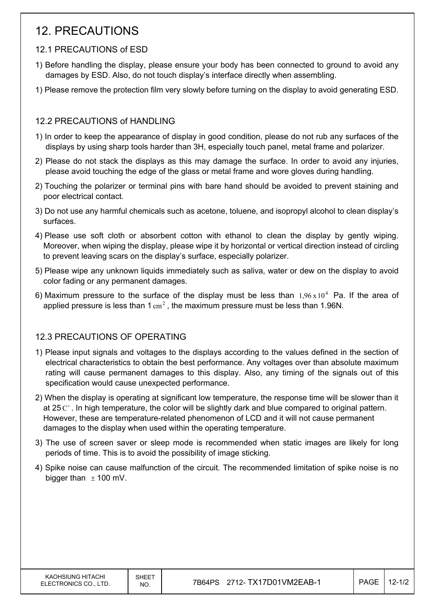## 12. PRECAUTIONS

### 12.1 PRECAUTIONS of ESD

- 1) Before handling the display, please ensure your body has been connected to ground to avoid any damages by ESD. Also, do not touch display's interface directly when assembling.
- 1) Please remove the protection film very slowly before turning on the display to avoid generating ESD.

### 12.2 PRECAUTIONS of HANDLING

- 1) In order to keep the appearance of display in good condition, please do not rub any surfaces of the displays by using sharp tools harder than 3H, especially touch panel, metal frame and polarizer.
- 2) Please do not stack the displays as this may damage the surface. In order to avoid any injuries, please avoid touching the edge of the glass or metal frame and wore gloves during handling.
- 2) Touching the polarizer or terminal pins with bare hand should be avoided to prevent staining and poor electrical contact.
- 3) Do not use any harmful chemicals such as acetone, toluene, and isopropyl alcohol to clean display's surfaces.
- 4) Please use soft cloth or absorbent cotton with ethanol to clean the display by gently wiping. Moreover, when wiping the display, please wipe it by horizontal or vertical direction instead of circling to prevent leaving scars on the display's surface, especially polarizer.
- 5) Please wipe any unknown liquids immediately such as saliva, water or dew on the display to avoid color fading or any permanent damages.
- 6) Maximum pressure to the surface of the display must be less than  $1.96 \times 10^4$  Pa. If the area of applied pressure is less than  $1 \text{ cm}^2$ , the maximum pressure must be less than 1.96N.

### 12.3 PRECAUTIONS OF OPERATING

- 1) Please input signals and voltages to the displays according to the values defined in the section of electrical characteristics to obtain the best performance. Any voltages over than absolute maximum rating will cause permanent damages to this display. Also, any timing of the signals out of this specification would cause unexpected performance.
- 2) When the display is operating at significant low temperature, the response time will be slower than it at 25 $\degree$ . In high temperature, the color will be slightly dark and blue compared to original pattern. However, these are temperature-related phenomenon of LCD and it will not cause permanent damages to the display when used within the operating temperature.
- 3) The use of screen saver or sleep mode is recommended when static images are likely for long periods of time. This is to avoid the possibility of image sticking.
- 4) Spike noise can cause malfunction of the circuit. The recommended limitation of spike noise is no bigger than  $\pm$  100 mV.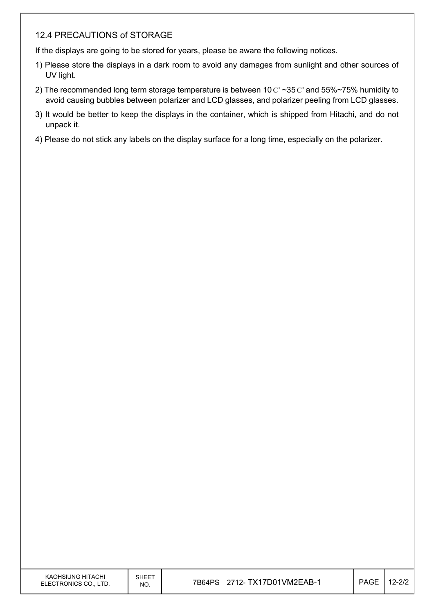### 12.4 PRECAUTIONS of STORAGE

If the displays are going to be stored for years, please be aware the following notices.

- 1) Please store the displays in a dark room to avoid any damages from sunlight and other sources of UV light.
- 2) The recommended long term storage temperature is between 10  $\mathrm{C}^{\circ}$  ~35  $\mathrm{C}^{\circ}$  and 55%~75% humidity to avoid causing bubbles between polarizer and LCD glasses, and polarizer peeling from LCD glasses.
- 3) It would be better to keep the displays in the container, which is shipped from Hitachi, and do not unpack it.
- 4) Please do not stick any labels on the display surface for a long time, especially on the polarizer.